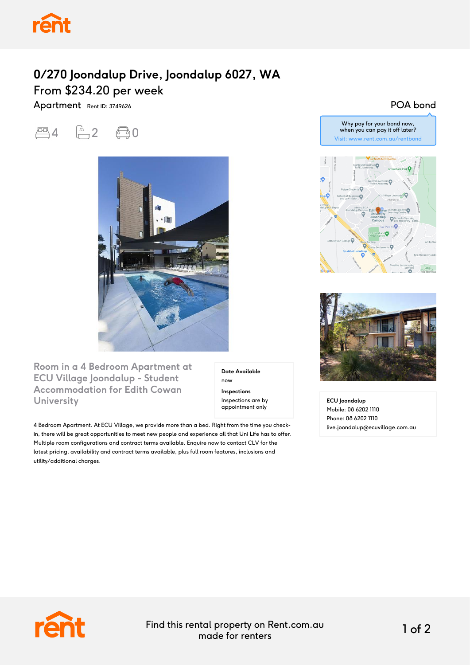

## **0/270 Joondalup Drive, Joondalup 6027, WA** From \$234.20 per week

Apartment Rent ID: 3749626

四4 页2 0



**Room in a 4 Bedroom Apartment at ECU Village Joondalup - Student Accommodation for Edith Cowan University**

**Date Available** now **Inspections** Inspections are by appointment only

4 Bedroom Apartment. At ECU Village, we provide more than a bed. Right from the time you checkin, there will be great opportunities to meet new people and experience all that Uni Life has to offer. Multiple room configurations and contract terms available. Enquire now to contact CLV for the latest pricing, availability and contract terms available, plus full room features, inclusions and utility/additional charges.

POA bond



Why pay for your bond now,



**ECU Joondalup** Mobile: 08 6202 1110 Phone: 08 6202 1110 live.joondalup@ecuvillage.com.au